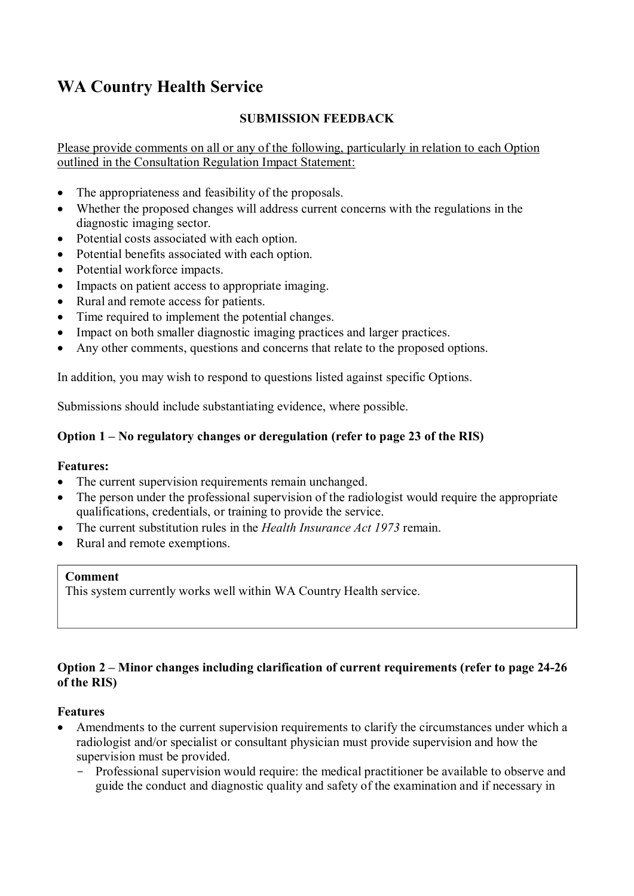# **WA Country Health Service**

# **SUBMISSION FEEDBACK**

Please provide comments on all or any of the following, particularly in relation to each Option outlined in the Consultation Regulation Impact Statement:

- The appropriateness and feasibility of the proposals.
- Whether the proposed changes will address current concerns with the regulations in the diagnostic imaging sector.
- Potential costs associated with each option.
- Potential benefits associated with each option.
- Potential workforce impacts.
- Impacts on patient access to appropriate imaging.
- Rural and remote access for patients.
- Time required to implement the potential changes.
- Impact on both smaller diagnostic imaging practices and larger practices.
- Any other comments, questions and concerns that relate to the proposed options.

In addition, you may wish to respond to questions listed against specific Options.

Submissions should include substantiating evidence, where possible.

## **Option 1 – No regulatory changes or deregulation (refer to page 23 of the RIS)**

## **Features:**

- The current supervision requirements remain unchanged.
- The person under the professional supervision of the radiologist would require the appropriate qualifications, credentials, or training to provide the service.
- The current substitution rules in the *Health Insurance Act 1973* remain.
- Rural and remote exemptions.

#### **Comment**

This system currently works well within WA Country Health service.

## **Option 2 – Minor changes including clarification of current requirements (refer to page 24-26 of the RIS)**

#### **Features**

- Amendments to the current supervision requirements to clarify the circumstances under which a radiologist and/or specialist or consultant physician must provide supervision and how the supervision must be provided.
	- Professional supervision would require: the medical practitioner be available to observe and guide the conduct and diagnostic quality and safety of the examination and if necessary in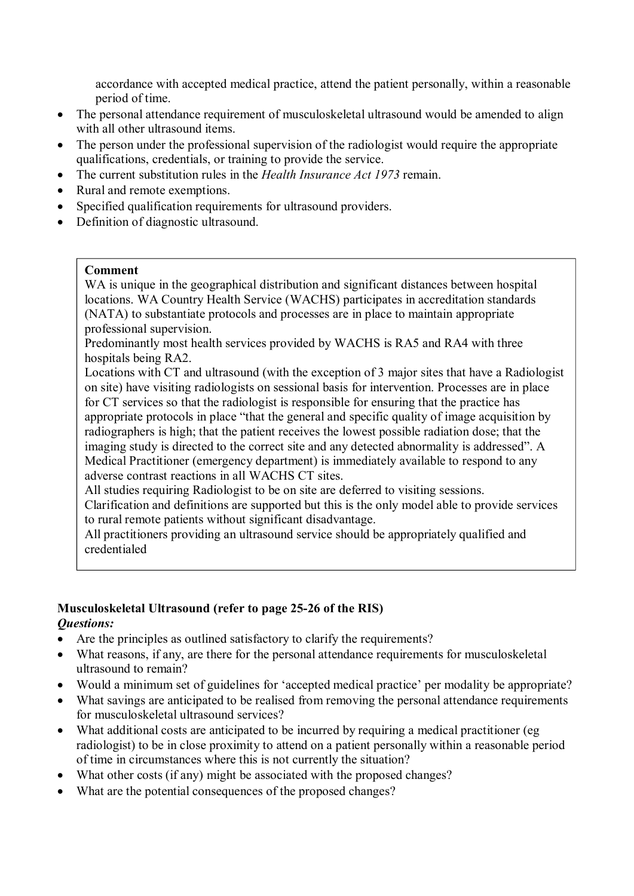accordance with accepted medical practice, attend the patient personally, within a reasonable period of time.

- The personal attendance requirement of musculoskeletal ultrasound would be amended to align with all other ultrasound items.
- The person under the professional supervision of the radiologist would require the appropriate qualifications, credentials, or training to provide the service.
- The current substitution rules in the *Health Insurance Act 1973* remain.
- Rural and remote exemptions.
- Specified qualification requirements for ultrasound providers.
- Definition of diagnostic ultrasound.

#### **Comment**

WA is unique in the geographical distribution and significant distances between hospital locations. WA Country Health Service (WACHS) participates in accreditation standards (NATA) to substantiate protocols and processes are in place to maintain appropriate professional supervision.

Predominantly most health services provided by WACHS is RA5 and RA4 with three hospitals being RA2.

Locations with CT and ultrasound (with the exception of 3 major sites that have a Radiologist on site) have visiting radiologists on sessional basis for intervention. Processes are in place for CT services so that the radiologist is responsible for ensuring that the practice has appropriate protocols in place "that the general and specific quality of image acquisition by radiographers is high; that the patient receives the lowest possible radiation dose; that the imaging study is directed to the correct site and any detected abnormality is addressed". A Medical Practitioner (emergency department) is immediately available to respond to any adverse contrast reactions in all WACHS CT sites.

All studies requiring Radiologist to be on site are deferred to visiting sessions.

Clarification and definitions are supported but this is the only model able to provide services to rural remote patients without significant disadvantage.

All practitioners providing an ultrasound service should be appropriately qualified and credentialed

## **Musculoskeletal Ultrasound (refer to page 25-26 of the RIS)**  *Questions:*

- Are the principles as outlined satisfactory to clarify the requirements?
- What reasons, if any, are there for the personal attendance requirements for musculoskeletal ultrasound to remain?
- Would a minimum set of guidelines for 'accepted medical practice' per modality be appropriate?
- What savings are anticipated to be realised from removing the personal attendance requirements for musculoskeletal ultrasound services?
- What additional costs are anticipated to be incurred by requiring a medical practitioner (eg radiologist) to be in close proximity to attend on a patient personally within a reasonable period of time in circumstances where this is not currently the situation?
- What other costs (if any) might be associated with the proposed changes?
- What are the potential consequences of the proposed changes?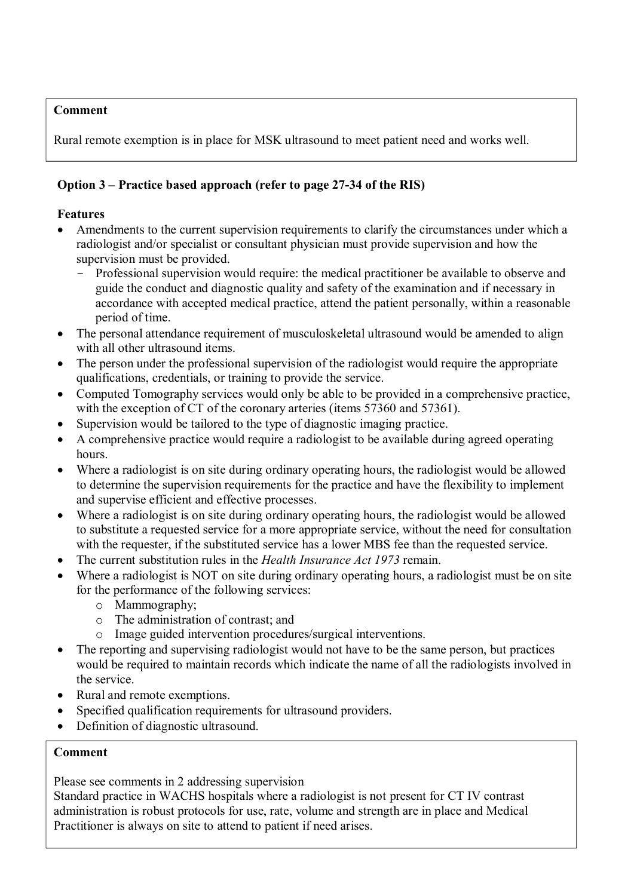# **Comment**

Rural remote exemption is in place for MSK ultrasound to meet patient need and works well.

# **Option 3 – Practice based approach (refer to page 27-34 of the RIS)**

# **Features**

- Amendments to the current supervision requirements to clarify the circumstances under which a radiologist and/or specialist or consultant physician must provide supervision and how the supervision must be provided.
	- Professional supervision would require: the medical practitioner be available to observe and guide the conduct and diagnostic quality and safety of the examination and if necessary in accordance with accepted medical practice, attend the patient personally, within a reasonable period of time.
- The personal attendance requirement of musculoskeletal ultrasound would be amended to align with all other ultrasound items.
- The person under the professional supervision of the radiologist would require the appropriate qualifications, credentials, or training to provide the service.
- Computed Tomography services would only be able to be provided in a comprehensive practice, with the exception of CT of the coronary arteries (items 57360 and 57361).
- Supervision would be tailored to the type of diagnostic imaging practice.
- A comprehensive practice would require a radiologist to be available during agreed operating hours.
- Where a radiologist is on site during ordinary operating hours, the radiologist would be allowed to determine the supervision requirements for the practice and have the flexibility to implement and supervise efficient and effective processes.
- Where a radiologist is on site during ordinary operating hours, the radiologist would be allowed to substitute a requested service for a more appropriate service, without the need for consultation with the requester, if the substituted service has a lower MBS fee than the requested service.
- The current substitution rules in the *Health Insurance Act 1973* remain.
- Where a radiologist is NOT on site during ordinary operating hours, a radiologist must be on site for the performance of the following services:
	- o Mammography;
	- o The administration of contrast; and
	- o Image guided intervention procedures/surgical interventions.
- The reporting and supervising radiologist would not have to be the same person, but practices would be required to maintain records which indicate the name of all the radiologists involved in the service.
- Rural and remote exemptions.
- Specified qualification requirements for ultrasound providers.
- Definition of diagnostic ultrasound.

# **Comment**

Please see comments in 2 addressing supervision

Standard practice in WACHS hospitals where a radiologist is not present for CT IV contrast administration is robust protocols for use, rate, volume and strength are in place and Medical Practitioner is always on site to attend to patient if need arises.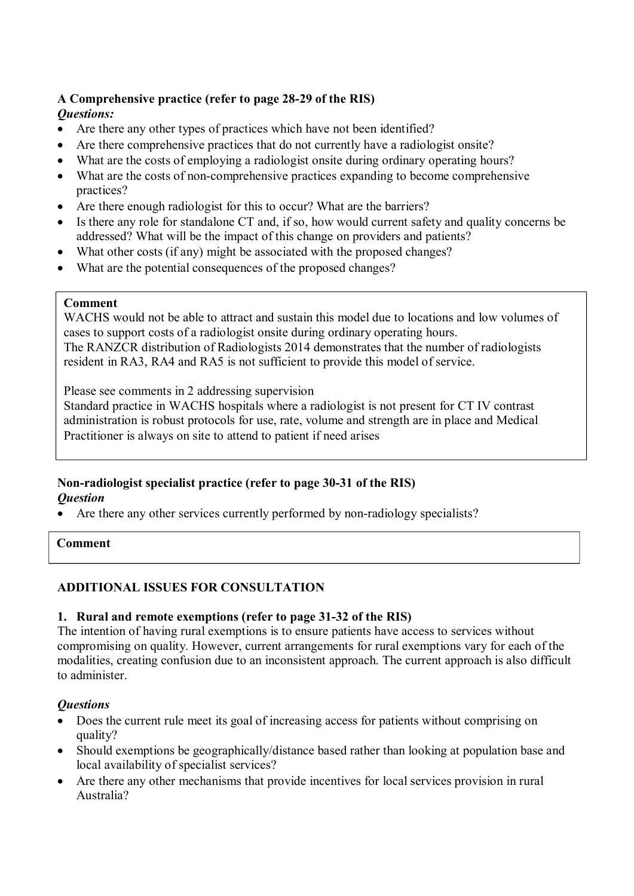# **A Comprehensive practice (refer to page 28-29 of the RIS)**

# *Questions:*

- Are there any other types of practices which have not been identified?
- Are there comprehensive practices that do not currently have a radiologist onsite?
- What are the costs of employing a radiologist onsite during ordinary operating hours?
- What are the costs of non-comprehensive practices expanding to become comprehensive practices?
- Are there enough radiologist for this to occur? What are the barriers?
- Is there any role for standalone CT and, if so, how would current safety and quality concerns be addressed? What will be the impact of this change on providers and patients?
- What other costs (if any) might be associated with the proposed changes?
- What are the potential consequences of the proposed changes?

## **Comment**

WACHS would not be able to attract and sustain this model due to locations and low volumes of cases to support costs of a radiologist onsite during ordinary operating hours. The RANZCR distribution of Radiologists 2014 demonstrates that the number of radiologists resident in RA3, RA4 and RA5 is not sufficient to provide this model of service.

Please see comments in 2 addressing supervision

Standard practice in WACHS hospitals where a radiologist is not present for CT IV contrast administration is robust protocols for use, rate, volume and strength are in place and Medical Practitioner is always on site to attend to patient if need arises

#### **Non-radiologist specialist practice (refer to page 30-31 of the RIS)**  *Question*

• Are there any other services currently performed by non-radiology specialists?

#### **Comment**

# **ADDITIONAL ISSUES FOR CONSULTATION**

## **1. Rural and remote exemptions (refer to page 31-32 of the RIS)**

The intention of having rural exemptions is to ensure patients have access to services without compromising on quality. However, current arrangements for rural exemptions vary for each of the modalities, creating confusion due to an inconsistent approach. The current approach is also difficult to administer.

## *Questions*

- Does the current rule meet its goal of increasing access for patients without comprising on quality?
- Should exemptions be geographically/distance based rather than looking at population base and local availability of specialist services?
- Are there any other mechanisms that provide incentives for local services provision in rural Australia?